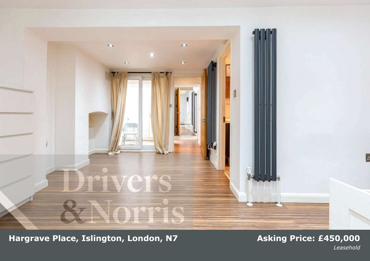

Hargrave Place, Islington, London, N7

**Asking Price: £450,000** Leasehold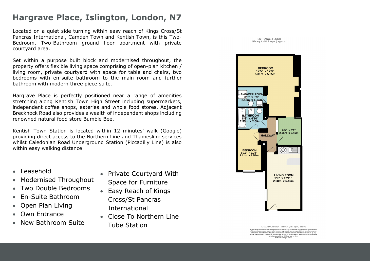## **Hargrave Place, Islington, London, N7**

Located on <sup>a</sup> quiet side turning within easy reach of Kings Cross/St Pancras International, Camden Town and Kentish Town, is this Two-Bedroom, Two-Bathroom ground floor apartment with private courtyard area.

Set within <sup>a</sup> purpose built block and modernised throughout, the property offers flexible living space comprising of open-plan kitchen / living room, private courtyard with space for table and chairs, two bedrooms with en-suite bathroom to the main room and further bathroom with modern three piece suite.

Hargrave Place is perfectly positioned near <sup>a</sup> range of amenities stretching along Kentish Town High Street including supermarkets, independent coffee shops, eateries and whole food stores. Adjacent Brecknock Road also provides <sup>a</sup> wealth of independent shops including renowned natural food store Bumble Bee.

Kentish Town Station is located within 12 minutes' walk (Google) providing direct access to the Northern Line and Thameslink services whilst Caledonian Road Underground Station (Piccadilly Line) is also within easy walking distance.

- $\bullet$ Leasehold
- $\bullet$ Modernised Throughout
- $\bullet$ Two Double Bedrooms
- $\bullet$ En-Suite Bathroom
- $\bullet$ Open Plan Living
- $\bullet$ Own Entrance
- $\bullet$ New Bathroom Suite
- Private Courtyard With Space for Furniture
- Easy Reach of Kings Cross/St Pancras
- International
- $\bullet$  Close To Northern Line Tube Station

**ENTRANCE ELOOR** 584 sq.ft. (54.3 sq.m.) approx.



TOTAL FLOOR AREA : 584 sq.ft. (54.3 sq.m.) approx. Whilst every attempt has been made to ensure the accuracy of the footplan contained here, measurement<br>contained the ensure the accuracy of the footplan contained here, measurement<br>contained material through a contained by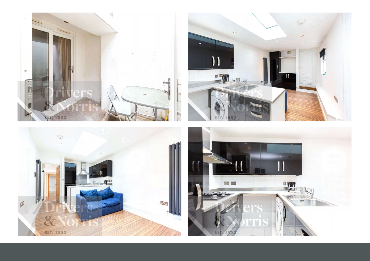